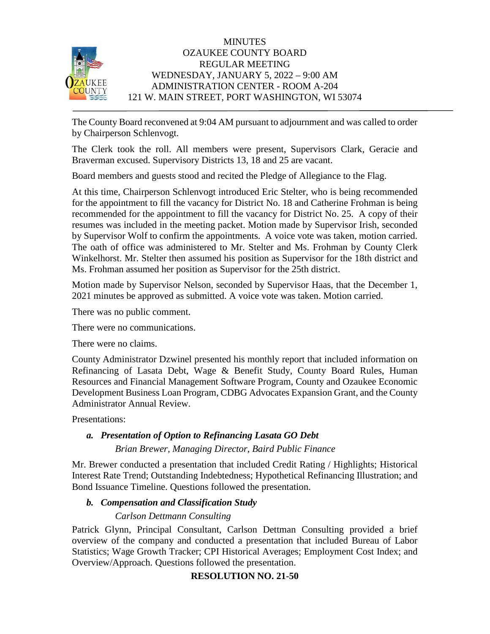

The County Board reconvened at 9:04 AM pursuant to adjournment and was called to order by Chairperson Schlenvogt.

The Clerk took the roll. All members were present, Supervisors Clark, Geracie and Braverman excused. Supervisory Districts 13, 18 and 25 are vacant.

Board members and guests stood and recited the Pledge of Allegiance to the Flag.

At this time, Chairperson Schlenvogt introduced Eric Stelter, who is being recommended for the appointment to fill the vacancy for District No. 18 and Catherine Frohman is being recommended for the appointment to fill the vacancy for District No. 25. A copy of their resumes was included in the meeting packet. Motion made by Supervisor Irish, seconded by Supervisor Wolf to confirm the appointments. A voice vote was taken, motion carried. The oath of office was administered to Mr. Stelter and Ms. Frohman by County Clerk Winkelhorst. Mr. Stelter then assumed his position as Supervisor for the 18th district and Ms. Frohman assumed her position as Supervisor for the 25th district.

Motion made by Supervisor Nelson, seconded by Supervisor Haas, that the December 1, 2021 minutes be approved as submitted. A voice vote was taken. Motion carried.

There was no public comment.

There were no communications.

There were no claims.

County Administrator Dzwinel presented his monthly report that included information on Refinancing of Lasata Debt, Wage & Benefit Study, County Board Rules, Human Resources and Financial Management Software Program, County and Ozaukee Economic Development Business Loan Program, CDBG Advocates Expansion Grant, and the County Administrator Annual Review.

Presentations:

# *a. Presentation of Option to Refinancing Lasata GO Debt*

*Brian Brewer, Managing Director, Baird Public Finance*

Mr. Brewer conducted a presentation that included Credit Rating / Highlights; Historical Interest Rate Trend; Outstanding Indebtedness; Hypothetical Refinancing Illustration; and Bond Issuance Timeline. Questions followed the presentation.

# *b. Compensation and Classification Study*

# *Carlson Dettmann Consulting*

Patrick Glynn, Principal Consultant, Carlson Dettman Consulting provided a brief overview of the company and conducted a presentation that included Bureau of Labor Statistics; Wage Growth Tracker; CPI Historical Averages; Employment Cost Index; and Overview/Approach. Questions followed the presentation.

# **RESOLUTION NO. 21-50**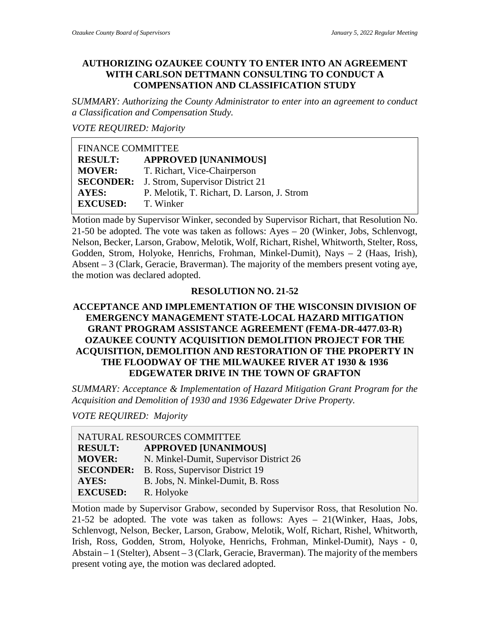#### **AUTHORIZING OZAUKEE COUNTY TO ENTER INTO AN AGREEMENT WITH CARLSON DETTMANN CONSULTING TO CONDUCT A COMPENSATION AND CLASSIFICATION STUDY**

*SUMMARY: Authorizing the County Administrator to enter into an agreement to conduct a Classification and Compensation Study.*

*VOTE REQUIRED: Majority*

| <b>FINANCE COMMITTEE</b> |                                                   |
|--------------------------|---------------------------------------------------|
| <b>RESULT:</b>           | <b>APPROVED [UNANIMOUS]</b>                       |
| <b>MOVER:</b>            | T. Richart, Vice-Chairperson                      |
|                          | <b>SECONDER:</b> J. Strom, Supervisor District 21 |
| <b>AYES:</b>             | P. Melotik, T. Richart, D. Larson, J. Strom       |
| <b>EXCUSED:</b>          | T. Winker                                         |

Motion made by Supervisor Winker, seconded by Supervisor Richart, that Resolution No. 21-50 be adopted. The vote was taken as follows: Ayes – 20 (Winker, Jobs, Schlenvogt, Nelson, Becker, Larson, Grabow, Melotik, Wolf, Richart, Rishel, Whitworth, Stelter, Ross, Godden, Strom, Holyoke, Henrichs, Frohman, Minkel-Dumit), Nays – 2 (Haas, Irish), Absent – 3 (Clark, Geracie, Braverman). The majority of the members present voting aye, the motion was declared adopted.

#### **RESOLUTION NO. 21-52**

# **ACCEPTANCE AND IMPLEMENTATION OF THE WISCONSIN DIVISION OF EMERGENCY MANAGEMENT STATE-LOCAL HAZARD MITIGATION GRANT PROGRAM ASSISTANCE AGREEMENT (FEMA-DR-4477.03-R) OZAUKEE COUNTY ACQUISITION DEMOLITION PROJECT FOR THE ACQUISITION, DEMOLITION AND RESTORATION OF THE PROPERTY IN THE FLOODWAY OF THE MILWAUKEE RIVER AT 1930 & 1936 EDGEWATER DRIVE IN THE TOWN OF GRAFTON**

*SUMMARY: Acceptance & Implementation of Hazard Mitigation Grant Program for the Acquisition and Demolition of 1930 and 1936 Edgewater Drive Property.*

*VOTE REQUIRED: Majority*

| NATURAL RESOURCES COMMITTEE |                                         |
|-----------------------------|-----------------------------------------|
| <b>RESULT:</b>              | <b>APPROVED [UNANIMOUS]</b>             |
| <b>MOVER:</b>               | N. Minkel-Dumit, Supervisor District 26 |
| <b>SECONDER:</b>            | B. Ross, Supervisor District 19         |
| <b>AYES:</b>                | B. Jobs, N. Minkel-Dumit, B. Ross       |
| <b>EXCUSED:</b>             | R. Holyoke                              |

Motion made by Supervisor Grabow, seconded by Supervisor Ross, that Resolution No. 21-52 be adopted. The vote was taken as follows: Ayes – 21(Winker, Haas, Jobs, Schlenvogt, Nelson, Becker, Larson, Grabow, Melotik, Wolf, Richart, Rishel, Whitworth, Irish, Ross, Godden, Strom, Holyoke, Henrichs, Frohman, Minkel-Dumit), Nays - 0, Abstain – 1 (Stelter), Absent – 3 (Clark, Geracie, Braverman). The majority of the members present voting aye, the motion was declared adopted.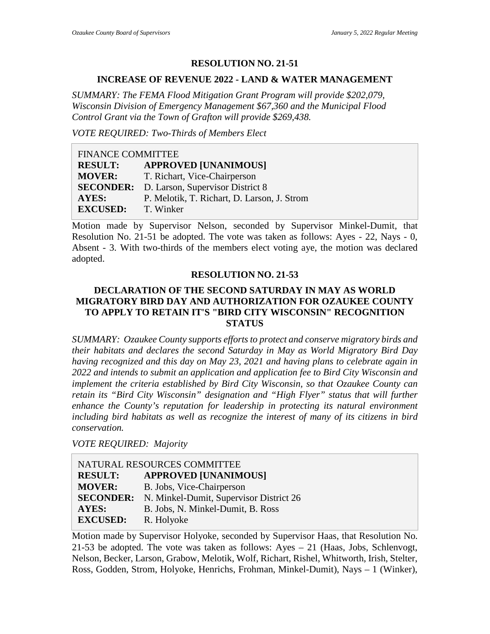#### **RESOLUTION NO. 21-51**

#### **INCREASE OF REVENUE 2022 - LAND & WATER MANAGEMENT**

*SUMMARY: The FEMA Flood Mitigation Grant Program will provide \$202,079, Wisconsin Division of Emergency Management \$67,360 and the Municipal Flood Control Grant via the Town of Grafton will provide \$269,438.*

*VOTE REQUIRED: Two-Thirds of Members Elect*

| <b>FINANCE COMMITTEE</b> |                                             |
|--------------------------|---------------------------------------------|
| <b>RESULT:</b>           | <b>APPROVED [UNANIMOUS]</b>                 |
| <b>MOVER:</b>            | T. Richart, Vice-Chairperson                |
| <b>SECONDER:</b>         | D. Larson, Supervisor District 8            |
| AYES:                    | P. Melotik, T. Richart, D. Larson, J. Strom |
| <b>EXCUSED:</b>          | T. Winker                                   |

Motion made by Supervisor Nelson, seconded by Supervisor Minkel-Dumit, that Resolution No. 21-51 be adopted. The vote was taken as follows: Ayes - 22, Nays - 0, Absent - 3. With two-thirds of the members elect voting aye, the motion was declared adopted.

#### **RESOLUTION NO. 21-53**

#### **DECLARATION OF THE SECOND SATURDAY IN MAY AS WORLD MIGRATORY BIRD DAY AND AUTHORIZATION FOR OZAUKEE COUNTY TO APPLY TO RETAIN IT'S "BIRD CITY WISCONSIN" RECOGNITION STATUS**

*SUMMARY: Ozaukee County supports efforts to protect and conserve migratory birds and their habitats and declares the second Saturday in May as World Migratory Bird Day having recognized and this day on May 23, 2021 and having plans to celebrate again in 2022 and intends to submit an application and application fee to Bird City Wisconsin and implement the criteria established by Bird City Wisconsin, so that Ozaukee County can retain its "Bird City Wisconsin" designation and "High Flyer" status that will further enhance the County's reputation for leadership in protecting its natural environment including bird habitats as well as recognize the interest of many of its citizens in bird conservation.*

*VOTE REQUIRED: Majority*

| NATURAL RESOURCES COMMITTEE |                                         |  |
|-----------------------------|-----------------------------------------|--|
| <b>RESULT:</b>              | <b>APPROVED [UNANIMOUS]</b>             |  |
| <b>MOVER:</b>               | B. Jobs, Vice-Chairperson               |  |
| <b>SECONDER:</b>            | N. Minkel-Dumit, Supervisor District 26 |  |
| AYES:                       | B. Jobs, N. Minkel-Dumit, B. Ross       |  |
| <b>EXCUSED:</b>             | R. Holyoke                              |  |

Motion made by Supervisor Holyoke, seconded by Supervisor Haas, that Resolution No. 21-53 be adopted. The vote was taken as follows: Ayes – 21 (Haas, Jobs, Schlenvogt, Nelson, Becker, Larson, Grabow, Melotik, Wolf, Richart, Rishel, Whitworth, Irish, Stelter, Ross, Godden, Strom, Holyoke, Henrichs, Frohman, Minkel-Dumit), Nays – 1 (Winker),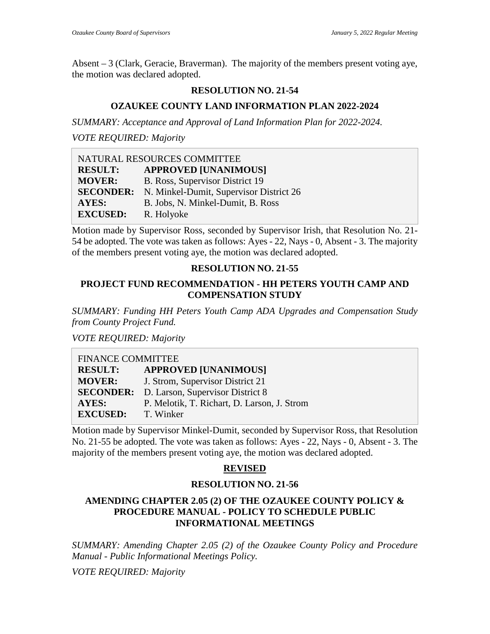Absent – 3 (Clark, Geracie, Braverman). The majority of the members present voting aye, the motion was declared adopted.

# **RESOLUTION NO. 21-54**

# **OZAUKEE COUNTY LAND INFORMATION PLAN 2022-2024**

*SUMMARY: Acceptance and Approval of Land Information Plan for 2022-2024.*

*VOTE REQUIRED: Majority*

| NATURAL RESOURCES COMMITTEE |                                         |  |
|-----------------------------|-----------------------------------------|--|
| <b>RESULT:</b>              | <b>APPROVED [UNANIMOUS]</b>             |  |
| <b>MOVER:</b>               | B. Ross, Supervisor District 19         |  |
| <b>SECONDER:</b>            | N. Minkel-Dumit, Supervisor District 26 |  |
| AYES:                       | B. Jobs, N. Minkel-Dumit, B. Ross       |  |
| <b>EXCUSED:</b>             | R. Holyoke                              |  |

Motion made by Supervisor Ross, seconded by Supervisor Irish, that Resolution No. 21- 54 be adopted. The vote was taken as follows: Ayes - 22, Nays - 0, Absent - 3. The majority of the members present voting aye, the motion was declared adopted.

# **RESOLUTION NO. 21-55**

### **PROJECT FUND RECOMMENDATION - HH PETERS YOUTH CAMP AND COMPENSATION STUDY**

*SUMMARY: Funding HH Peters Youth Camp ADA Upgrades and Compensation Study from County Project Fund.*

*VOTE REQUIRED: Majority*

| <b>FINANCE COMMITTEE</b> |                                             |
|--------------------------|---------------------------------------------|
| <b>RESULT:</b>           | <b>APPROVED [UNANIMOUS]</b>                 |
| <b>MOVER:</b>            | J. Strom, Supervisor District 21            |
| <b>SECONDER:</b>         | D. Larson, Supervisor District 8            |
| AYES:                    | P. Melotik, T. Richart, D. Larson, J. Strom |
| <b>EXCUSED:</b>          | T. Winker                                   |

Motion made by Supervisor Minkel-Dumit, seconded by Supervisor Ross, that Resolution No. 21-55 be adopted. The vote was taken as follows: Ayes - 22, Nays - 0, Absent - 3. The majority of the members present voting aye, the motion was declared adopted.

# **REVISED**

# **RESOLUTION NO. 21-56**

#### **AMENDING CHAPTER 2.05 (2) OF THE OZAUKEE COUNTY POLICY & PROCEDURE MANUAL - POLICY TO SCHEDULE PUBLIC INFORMATIONAL MEETINGS**

*SUMMARY: Amending Chapter 2.05 (2) of the Ozaukee County Policy and Procedure Manual - Public Informational Meetings Policy.*

*VOTE REQUIRED: Majority*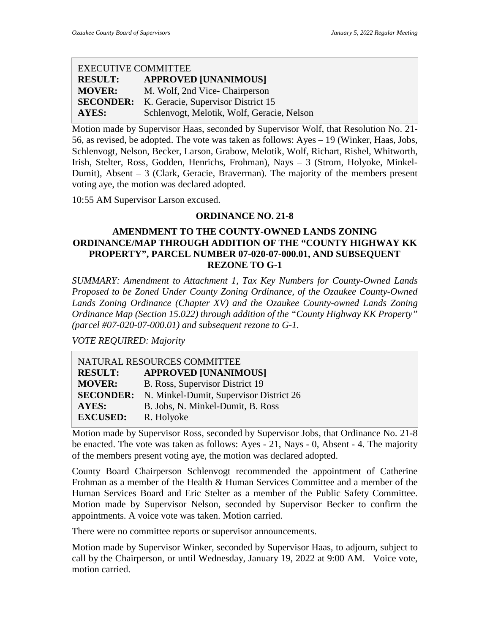### EXECUTIVE COMMITTEE **RESULT: APPROVED [UNANIMOUS] MOVER:** M. Wolf, 2nd Vice- Chairperson **SECONDER:** K. Geracie, Supervisor District 15 **AYES:** Schlenvogt, Melotik, Wolf, Geracie, Nelson

Motion made by Supervisor Haas, seconded by Supervisor Wolf, that Resolution No. 21- 56, as revised, be adopted. The vote was taken as follows: Ayes – 19 (Winker, Haas, Jobs, Schlenvogt, Nelson, Becker, Larson, Grabow, Melotik, Wolf, Richart, Rishel, Whitworth, Irish, Stelter, Ross, Godden, Henrichs, Frohman), Nays – 3 (Strom, Holyoke, Minkel-Dumit), Absent – 3 (Clark, Geracie, Braverman). The majority of the members present voting aye, the motion was declared adopted.

10:55 AM Supervisor Larson excused.

# **ORDINANCE NO. 21-8**

# **AMENDMENT TO THE COUNTY-OWNED LANDS ZONING ORDINANCE/MAP THROUGH ADDITION OF THE "COUNTY HIGHWAY KK PROPERTY", PARCEL NUMBER 07-020-07-000.01, AND SUBSEQUENT REZONE TO G-1**

*SUMMARY: Amendment to Attachment 1, Tax Key Numbers for County-Owned Lands Proposed to be Zoned Under County Zoning Ordinance, of the Ozaukee County-Owned Lands Zoning Ordinance (Chapter XV) and the Ozaukee County-owned Lands Zoning Ordinance Map (Section 15.022) through addition of the "County Highway KK Property" (parcel #07-020-07-000.01) and subsequent rezone to G-1.*

*VOTE REQUIRED: Majority*

| NATURAL RESOURCES COMMITTEE |                                         |  |
|-----------------------------|-----------------------------------------|--|
| <b>RESULT:</b>              | <b>APPROVED [UNANIMOUS]</b>             |  |
| <b>MOVER:</b>               | B. Ross, Supervisor District 19         |  |
| <b>SECONDER:</b>            | N. Minkel-Dumit, Supervisor District 26 |  |
| <b>AYES:</b>                | B. Jobs, N. Minkel-Dumit, B. Ross       |  |
| <b>EXCUSED:</b>             | R. Holyoke                              |  |

Motion made by Supervisor Ross, seconded by Supervisor Jobs, that Ordinance No. 21-8 be enacted. The vote was taken as follows: Ayes - 21, Nays - 0, Absent - 4. The majority of the members present voting aye, the motion was declared adopted.

County Board Chairperson Schlenvogt recommended the appointment of Catherine Frohman as a member of the Health & Human Services Committee and a member of the Human Services Board and Eric Stelter as a member of the Public Safety Committee. Motion made by Supervisor Nelson, seconded by Supervisor Becker to confirm the appointments. A voice vote was taken. Motion carried.

There were no committee reports or supervisor announcements.

Motion made by Supervisor Winker, seconded by Supervisor Haas, to adjourn, subject to call by the Chairperson, or until Wednesday, January 19, 2022 at 9:00 AM. Voice vote, motion carried.